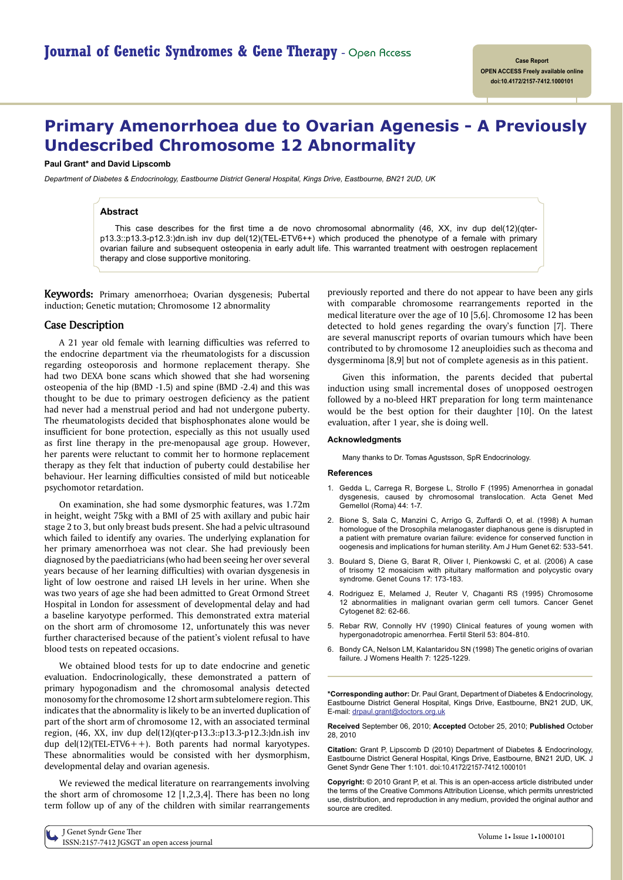# **Primary Amenorrhoea due to Ovarian Agenesis - A Previously Undescribed Chromosome 12 Abnormality**

**Paul Grant\* and David Lipscomb**

*Department of Diabetes & Endocrinology, Eastbourne District General Hospital, Kings Drive, Eastbourne, BN21 2UD, UK*

### **Abstract**

This case describes for the first time a de novo chromosomal abnormality  $(46, XX, inv)$  dup del $(12)(qter$ p13.3::p13.3-p12.3:)dn.ish inv dup del(12)(TEL-ETV6++) which produced the phenotype of a female with primary ovarian failure and subsequent osteopenia in early adult life. This warranted treatment with oestrogen replacement therapy and close supportive monitoring.

**Keywords:** Primary amenorrhoea; Ovarian dysgenesis; Pubertal induction; Genetic mutation; Chromosome 12 abnormality

## **Case Description**

A 21 year old female with learning difficulties was referred to the endocrine department via the rheumatologists for a discussion regarding osteoporosis and hormone replacement therapy. She had two DEXA bone scans which showed that she had worsening osteopenia of the hip (BMD -1.5) and spine (BMD -2.4) and this was thought to be due to primary oestrogen deficiency as the patient had never had a menstrual period and had not undergone puberty. The rheumatologists decided that bisphosphonates alone would be insufficient for bone protection, especially as this not usually used as first line therapy in the pre-menopausal age group. However, her parents were reluctant to commit her to hormone replacement therapy as they felt that induction of puberty could destabilise her behaviour. Her learning difficulties consisted of mild but noticeable psychomotor retardation.

On examination, she had some dysmorphic features, was 1.72m in height, weight 75kg with a BMI of 25 with axillary and pubic hair stage 2 to 3, but only breast buds present. She had a pelvic ultrasound which failed to identify any ovaries. The underlying explanation for her primary amenorrhoea was not clear. She had previously been diagnosed by the paediatricians (who had been seeing her over several years because of her learning difficulties) with ovarian dysgenesis in light of low oestrone and raised LH levels in her urine. When she was two years of age she had been admitted to Great Ormond Street Hospital in London for assessment of developmental delay and had a baseline karyotype performed. This demonstrated extra material on the short arm of chromosome 12, unfortunately this was never further characterised because of the patient's violent refusal to have blood tests on repeated occasions.

We obtained blood tests for up to date endocrine and genetic evaluation. Endocrinologically, these demonstrated a pattern of primary hypogonadism and the chromosomal analysis detected monosomy for the chromosome 12 short arm subtelomere region. This indicates that the abnormality is likely to be an inverted duplication of part of the short arm of chromosome 12, with an associated terminal region, (46, XX, inv dup del(12)(qter-p13.3::p13.3-p12.3:)dn.ish inv dup del(12)(TEL-ETV6++). Both parents had normal karyotypes. These abnormalities would be consisted with her dysmorphism, developmental delay and ovarian agenesis.

We reviewed the medical literature on rearrangements involving the short arm of chromosome 12 [1,2,3,4]. There has been no long term follow up of any of the children with similar rearrangements

previously reported and there do not appear to have been any girls with comparable chromosome rearrangements reported in the medical literature over the age of 10 [5,6]. Chromosome 12 has been detected to hold genes regarding the ovary's function [7]. There are several manuscript reports of ovarian tumours which have been contributed to by chromosome 12 aneuploidies such as thecoma and dysgerminoma [8,9] but not of complete agenesis as in this patient.

Given this information, the parents decided that pubertal induction using small incremental doses of unopposed oestrogen followed by a no-bleed HRT preparation for long term maintenance would be the best option for their daughter [10]. On the latest evaluation, after 1 year, she is doing well.

#### **Acknowledgments**

Many thanks to Dr. Tomas Agustsson, SpR Endocrinology.

#### **References**

- 1. Gedda L, Carrega R, Borgese L, Strollo F (1995) Amenorrhea in gonadal [dysgenesis, caused by chromosomal translocation. Acta Genet Med](http://www.ncbi.nlm.nih.gov/pubmed/7653199) Gemellol (Roma) 44: 1-7.
- 2. [Bione S, Sala C, Manzini C, Arrigo G, Zuffardi O, et al. \(1998\) A human](http://www.ncbi.nlm.nih.gov/pubmed/9497258) homologue of the Drosophila melanogaster diaphanous gene is disrupted in a patient with premature ovarian failure: evidence for conserved function in oogenesis and implications for human sterility. Am J Hum Genet 62: 533-541.
- 3. [Boulard S, Diene G, Barat R, Oliver I, Pienkowski C, et al. \(2006\) A case](http://www.ncbi.nlm.nih.gov/pubmed/16970035) of trisomy 12 mosaicism with pituitary malformation and polycystic ovary syndrome. Genet Couns 17: 173-183.
- 4. [Rodriguez E, Melamed J, Reuter V, Chaganti RS \(1995\) Chromosome](http://www.ncbi.nlm.nih.gov/pubmed/7627937) 12 abnormalities in malignant ovarian germ cell tumors. Cancer Genet Cytogenet 82: 62-66.
- 5. [Rebar RW, Connolly HV \(1990\) Clinical features of young women with](http://www.ncbi.nlm.nih.gov/pubmed/2110072) hypergonadotropic amenorrhea. Fertil Steril 53: 804-810.
- 6. [Bondy CA, Nelson LM, Kalantaridou SN \(1998\) The genetic origins of ovarian](http://www.ncbi.nlm.nih.gov/pubmed/9929855)  failure. J Womens Health 7: 1225-1229.

**\*Corresponding author:** Dr. Paul Grant, Department of Diabetes & Endocrinology, Eastbourne District General Hospital, Kings Drive, Eastbourne, BN21 2UD, UK, E-mail: drpaul.grant@doctors.org.uk

**Received** September 06, 2010; **Accepted** October 25, 2010; **Published** October 28, 2010

**Citation:** Grant P, Lipscomb D (2010) Department of Diabetes & Endocrinology, Eastbourne District General Hospital, Kings Drive, Eastbourne, BN21 2UD, UK. J Genet Syndr Gene Ther 1:101. doi:10.4172/2157-7412.1000101

**Copyright:** © 2010 Grant P, et al. This is an open-access article distributed under the terms of the Creative Commons Attribution License, which permits unrestricted use, distribution, and reproduction in any medium, provided the original author and source are credited.